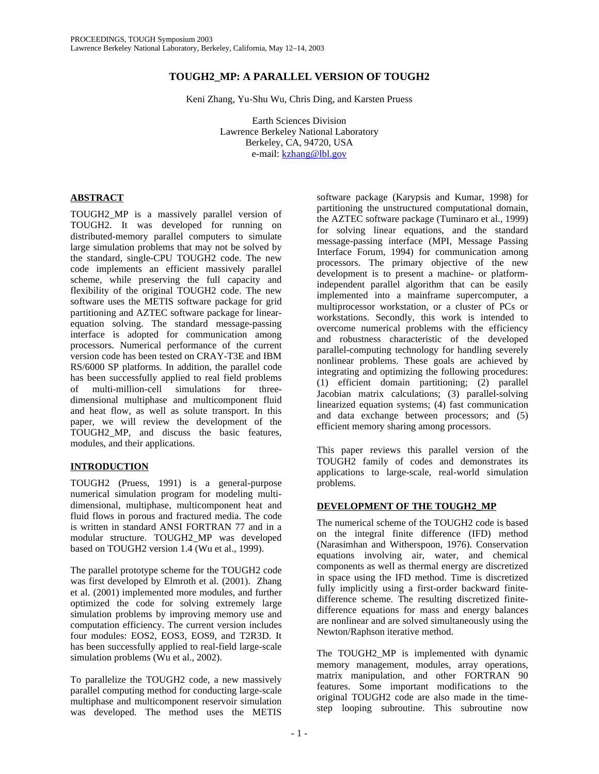# **TOUGH2\_MP: A PARALLEL VERSION OF TOUGH2**

Keni Zhang, Yu-Shu Wu, Chris Ding, and Karsten Pruess

Earth Sciences Division Lawrence Berkeley National Laboratory Berkeley, CA, 94720, USA e-mail: kzhang@lbl.gov

# **ABSTRACT**

TOUGH2\_MP is a massively parallel version of TOUGH2. It was developed for running on distributed-memory parallel computers to simulate large simulation problems that may not be solved by the standard, single-CPU TOUGH2 code. The new code implements an efficient massively parallel scheme, while preserving the full capacity and flexibility of the original TOUGH2 code. The new software uses the METIS software package for grid partitioning and AZTEC software package for linearequation solving. The standard message-passing interface is adopted for communication among processors. Numerical performance of the current version code has been tested on CRAY-T3E and IBM RS/6000 SP platforms. In addition, the parallel code has been successfully applied to real field problems of multi-million-cell simulations for threedimensional multiphase and multicomponent fluid and heat flow, as well as solute transport. In this paper, we will review the development of the TOUGH2\_MP, and discuss the basic features, modules, and their applications.

# **INTRODUCTION**

TOUGH2 (Pruess, 1991) is a general-purpose numerical simulation program for modeling multidimensional, multiphase, multicomponent heat and fluid flows in porous and fractured media. The code is written in standard ANSI FORTRAN 77 and in a modular structure. TOUGH2\_MP was developed based on TOUGH2 version 1.4 (Wu et al., 1999).

The parallel prototype scheme for the TOUGH2 code was first developed by Elmroth et al. (2001). Zhang et al. (2001) implemented more modules, and further optimized the code for solving extremely large simulation problems by improving memory use and computation efficiency. The current version includes four modules: EOS2, EOS3, EOS9, and T2R3D. It has been successfully applied to real-field large-scale simulation problems (Wu et al., 2002).

To parallelize the TOUGH2 code, a new massively parallel computing method for conducting large-scale multiphase and multicomponent reservoir simulation was developed. The method uses the METIS

software package (Karypsis and Kumar, 1998) for partitioning the unstructured computational domain, the AZTEC software package (Tuminaro et al., 1999) for solving linear equations, and the standard message-passing interface (MPI, Message Passing Interface Forum, 1994) for communication among processors. The primary objective of the new development is to present a machine- or platformindependent parallel algorithm that can be easily implemented into a mainframe supercomputer, a multiprocessor workstation, or a cluster of PCs or workstations. Secondly, this work is intended to overcome numerical problems with the efficiency and robustness characteristic of the developed parallel-computing technology for handling severely nonlinear problems. These goals are achieved by integrating and optimizing the following procedures: (1) efficient domain partitioning; (2) parallel Jacobian matrix calculations; (3) parallel-solving linearized equation systems; (4) fast communication and data exchange between processors; and (5) efficient memory sharing among processors.

This paper reviews this parallel version of the TOUGH2 family of codes and demonstrates its applications to large-scale, real-world simulation problems.

# **DEVELOPMENT OF THE TOUGH2\_MP**

The numerical scheme of the TOUGH2 code is based on the integral finite difference (IFD) method (Narasimhan and Witherspoon, 1976). Conservation equations involving air, water, and chemical components as well as thermal energy are discretized in space using the IFD method. Time is discretized fully implicitly using a first-order backward finitedifference scheme. The resulting discretized finitedifference equations for mass and energy balances are nonlinear and are solved simultaneously using the Newton/Raphson iterative method.

The TOUGH2\_MP is implemented with dynamic memory management, modules, array operations, matrix manipulation, and other FORTRAN 90 features. Some important modifications to the original TOUGH2 code are also made in the timestep looping subroutine. This subroutine now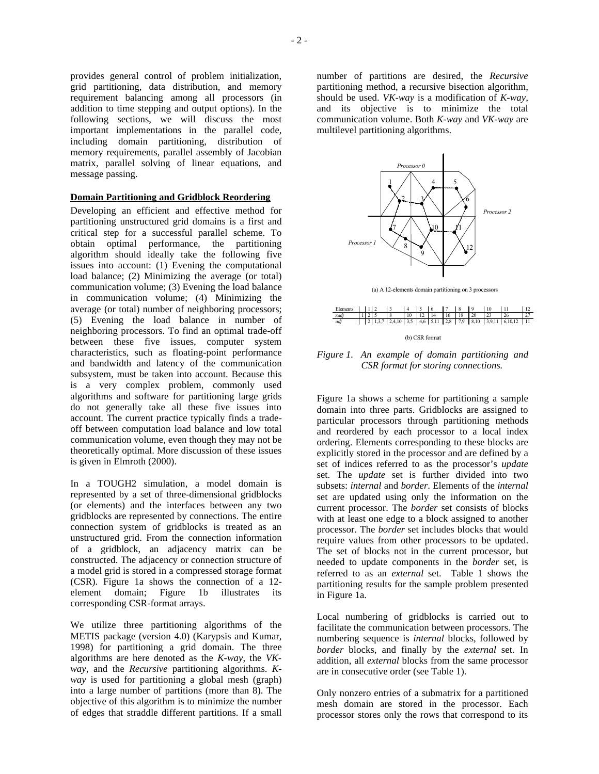provides general control of problem initialization, grid partitioning, data distribution, and memory requirement balancing among all processors (in addition to time stepping and output options). In the following sections, we will discuss the most important implementations in the parallel code, including domain partitioning, distribution of memory requirements, parallel assembly of Jacobian matrix, parallel solving of linear equations, and message passing.

#### **Domain Partitioning and Gridblock Reordering**

Developing an efficient and effective method for partitioning unstructured grid domains is a first and critical step for a successful parallel scheme. To obtain optimal performance, the partitioning algorithm should ideally take the following five issues into account: (1) Evening the computational load balance; (2) Minimizing the average (or total) communication volume; (3) Evening the load balance in communication volume; (4) Minimizing the average (or total) number of neighboring processors; (5) Evening the load balance in number of neighboring processors. To find an optimal trade-off between these five issues, computer system characteristics, such as floating-point performance and bandwidth and latency of the communication subsystem, must be taken into account. Because this is a very complex problem, commonly used algorithms and software for partitioning large grids do not generally take all these five issues into account. The current practice typically finds a tradeoff between computation load balance and low total communication volume, even though they may not be theoretically optimal. More discussion of these issues is given in Elmroth (2000).

In a TOUGH2 simulation, a model domain is represented by a set of three-dimensional gridblocks (or elements) and the interfaces between any two gridblocks are represented by connections. The entire connection system of gridblocks is treated as an unstructured grid. From the connection information of a gridblock, an adjacency matrix can be constructed. The adjacency or connection structure of a model grid is stored in a compressed storage format (CSR). Figure 1a shows the connection of a 12 element domain; Figure 1b illustrates its corresponding CSR-format arrays.

We utilize three partitioning algorithms of the METIS package (version 4.0) (Karypsis and Kumar, 1998) for partitioning a grid domain. The three algorithms are here denoted as the *K-way*, the *VKway*, and the *Recursive* partitioning algorithms. *Kway* is used for partitioning a global mesh (graph) into a large number of partitions (more than 8). The objective of this algorithm is to minimize the number of edges that straddle different partitions. If a small

number of partitions are desired, the *Recursive*  partitioning method, a recursive bisection algorithm, should be used. *VK-way* is a modification of *K-way,*  and its objective is to minimize the total communication volume. Both *K-way* and *VK-way* are multilevel partitioning algorithms.



(a) A 12-elements domain partitioning on 3 processors





Figure 1a shows a scheme for partitioning a sample domain into three parts. Gridblocks are assigned to particular processors through partitioning methods and reordered by each processor to a local index ordering. Elements corresponding to these blocks are explicitly stored in the processor and are defined by a set of indices referred to as the processor's *update* set. The *update* set is further divided into two subsets: *internal* and *border*. Elements of the *internal* set are updated using only the information on the current processor. The *border* set consists of blocks with at least one edge to a block assigned to another processor. The *border* set includes blocks that would require values from other processors to be updated. The set of blocks not in the current processor, but needed to update components in the *border* set, is referred to as an *external* set. Table 1 shows the partitioning results for the sample problem presented in Figure 1a.

Local numbering of gridblocks is carried out to facilitate the communication between processors. The numbering sequence is *internal* blocks, followed by *border* blocks, and finally by the *external* set. In addition, all *external* blocks from the same processor are in consecutive order (see Table 1).

Only nonzero entries of a submatrix for a partitioned mesh domain are stored in the processor. Each processor stores only the rows that correspond to its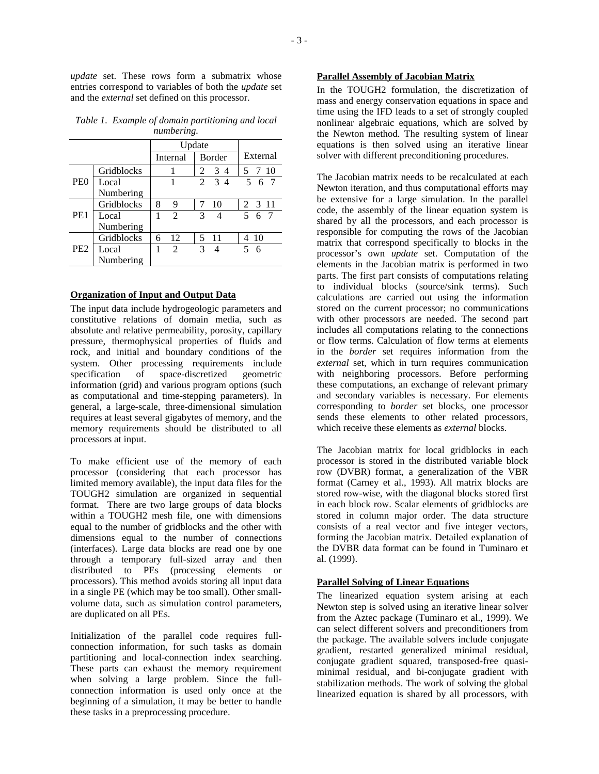*update* set. These rows form a submatrix whose entries correspond to variables of both the *update* set and the *external* set defined on this processor.

|                 |                    | Update |                |                |                |          |
|-----------------|--------------------|--------|----------------|----------------|----------------|----------|
|                 |                    |        | Internal       | Border         |                | External |
| PE <sub>0</sub> | Gridblocks         |        |                | 2              | 34             | 5 7 10   |
|                 | Local<br>Numbering |        | 1              |                | $2 \t3 \t4$    | 5 6 7    |
| PE <sub>1</sub> | Gridblocks         | 8      | 9              |                | 10             | 2 3 11   |
|                 | Local<br>Numbering | 1      | $\mathfrak{D}$ | $\overline{3}$ | $\overline{4}$ | 5 6 7    |
| PE <sub>2</sub> | Gridblocks         | 6      | 12             |                | 5 11           | 4 10     |
|                 | Local<br>Numbering | 1      | $\mathfrak{D}$ | $\mathcal{E}$  | $\overline{4}$ | 5 6      |

*Table 1. Example of domain partitioning and local numbering.* 

### **Organization of Input and Output Data**

The input data include hydrogeologic parameters and constitutive relations of domain media, such as absolute and relative permeability, porosity, capillary pressure, thermophysical properties of fluids and rock, and initial and boundary conditions of the system. Other processing requirements include specification of space-discretized geometric information (grid) and various program options (such as computational and time-stepping parameters). In general, a large-scale, three-dimensional simulation requires at least several gigabytes of memory, and the memory requirements should be distributed to all processors at input.

To make efficient use of the memory of each processor (considering that each processor has limited memory available), the input data files for the TOUGH2 simulation are organized in sequential format. There are two large groups of data blocks within a TOUGH2 mesh file, one with dimensions equal to the number of gridblocks and the other with dimensions equal to the number of connections (interfaces). Large data blocks are read one by one through a temporary full-sized array and then distributed to PEs (processing elements or processors). This method avoids storing all input data in a single PE (which may be too small). Other smallvolume data, such as simulation control parameters, are duplicated on all PEs.

Initialization of the parallel code requires fullconnection information, for such tasks as domain partitioning and local-connection index searching. These parts can exhaust the memory requirement when solving a large problem. Since the fullconnection information is used only once at the beginning of a simulation, it may be better to handle these tasks in a preprocessing procedure.

### **Parallel Assembly of Jacobian Matrix**

In the TOUGH2 formulation, the discretization of mass and energy conservation equations in space and time using the IFD leads to a set of strongly coupled nonlinear algebraic equations, which are solved by the Newton method. The resulting system of linear equations is then solved using an iterative linear solver with different preconditioning procedures.

The Jacobian matrix needs to be recalculated at each Newton iteration, and thus computational efforts may be extensive for a large simulation. In the parallel code, the assembly of the linear equation system is shared by all the processors, and each processor is responsible for computing the rows of the Jacobian matrix that correspond specifically to blocks in the processor's own *update* set. Computation of the elements in the Jacobian matrix is performed in two parts. The first part consists of computations relating to individual blocks (source/sink terms). Such calculations are carried out using the information stored on the current processor; no communications with other processors are needed. The second part includes all computations relating to the connections or flow terms. Calculation of flow terms at elements in the *border* set requires information from the *external* set, which in turn requires communication with neighboring processors. Before performing these computations, an exchange of relevant primary and secondary variables is necessary. For elements corresponding to *border* set blocks, one processor sends these elements to other related processors, which receive these elements as *external* blocks.

The Jacobian matrix for local gridblocks in each processor is stored in the distributed variable block row (DVBR) format, a generalization of the VBR format (Carney et al., 1993). All matrix blocks are stored row-wise, with the diagonal blocks stored first in each block row. Scalar elements of gridblocks are stored in column major order. The data structure consists of a real vector and five integer vectors, forming the Jacobian matrix. Detailed explanation of the DVBR data format can be found in Tuminaro et al. (1999).

#### **Parallel Solving of Linear Equations**

The linearized equation system arising at each Newton step is solved using an iterative linear solver from the Aztec package (Tuminaro et al., 1999). We can select different solvers and preconditioners from the package. The available solvers include conjugate gradient, restarted generalized minimal residual, conjugate gradient squared, transposed-free quasiminimal residual, and bi-conjugate gradient with stabilization methods. The work of solving the global linearized equation is shared by all processors, with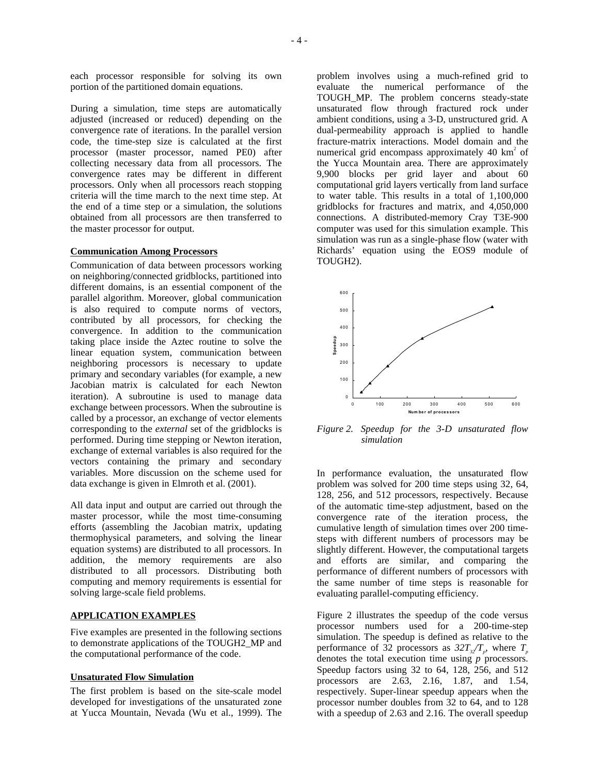each processor responsible for solving its own portion of the partitioned domain equations.

During a simulation, time steps are automatically adjusted (increased or reduced) depending on the convergence rate of iterations. In the parallel version code, the time-step size is calculated at the first processor (master processor, named PE0) after collecting necessary data from all processors. The convergence rates may be different in different processors. Only when all processors reach stopping criteria will the time march to the next time step. At the end of a time step or a simulation, the solutions obtained from all processors are then transferred to the master processor for output.

#### **Communication Among Processors**

Communication of data between processors working on neighboring/connected gridblocks, partitioned into different domains, is an essential component of the parallel algorithm. Moreover, global communication is also required to compute norms of vectors, contributed by all processors, for checking the convergence. In addition to the communication taking place inside the Aztec routine to solve the linear equation system, communication between neighboring processors is necessary to update primary and secondary variables (for example, a new Jacobian matrix is calculated for each Newton iteration). A subroutine is used to manage data exchange between processors. When the subroutine is called by a processor, an exchange of vector elements corresponding to the *external* set of the gridblocks is performed. During time stepping or Newton iteration, exchange of external variables is also required for the vectors containing the primary and secondary variables. More discussion on the scheme used for data exchange is given in Elmroth et al. (2001).

All data input and output are carried out through the master processor, while the most time-consuming efforts (assembling the Jacobian matrix, updating thermophysical parameters, and solving the linear equation systems) are distributed to all processors. In addition, the memory requirements are also distributed to all processors. Distributing both computing and memory requirements is essential for solving large-scale field problems.

#### **APPLICATION EXAMPLES**

Five examples are presented in the following sections to demonstrate applications of the TOUGH2\_MP and the computational performance of the code.

#### **Unsaturated Flow Simulation**

The first problem is based on the site-scale model developed for investigations of the unsaturated zone at Yucca Mountain, Nevada (Wu et al., 1999). The

problem involves using a much-refined grid to evaluate the numerical performance of the TOUGH\_MP. The problem concerns steady-state unsaturated flow through fractured rock under ambient conditions, using a 3-D, unstructured grid. A dual-permeability approach is applied to handle fracture-matrix interactions. Model domain and the numerical grid encompass approximately  $40 \text{ km}^2$  of the Yucca Mountain area. There are approximately 9,900 blocks per grid layer and about 60 computational grid layers vertically from land surface to water table. This results in a total of 1,100,000 gridblocks for fractures and matrix, and 4,050,000 connections. A distributed-memory Cray T3E-900 computer was used for this simulation example. This simulation was run as a single-phase flow (water with Richards' equation using the EOS9 module of TOUGH2).



*Figure 2. Speedup for the 3-D unsaturated flow simulation* 

In performance evaluation, the unsaturated flow problem was solved for 200 time steps using 32, 64, 128, 256, and 512 processors, respectively. Because of the automatic time-step adjustment, based on the convergence rate of the iteration process, the cumulative length of simulation times over 200 timesteps with different numbers of processors may be slightly different. However, the computational targets and efforts are similar, and comparing the performance of different numbers of processors with the same number of time steps is reasonable for evaluating parallel-computing efficiency.

Figure 2 illustrates the speedup of the code versus processor numbers used for a 200-time-step simulation. The speedup is defined as relative to the performance of 32 processors as  $32T_{3}/T_{p}$ , where  $T_{p}$ denotes the total execution time using *p* processors. Speedup factors using 32 to 64, 128, 256, and 512 processors are 2.63, 2.16, 1.87, and 1.54, respectively. Super-linear speedup appears when the processor number doubles from 32 to 64, and to 128 with a speedup of 2.63 and 2.16. The overall speedup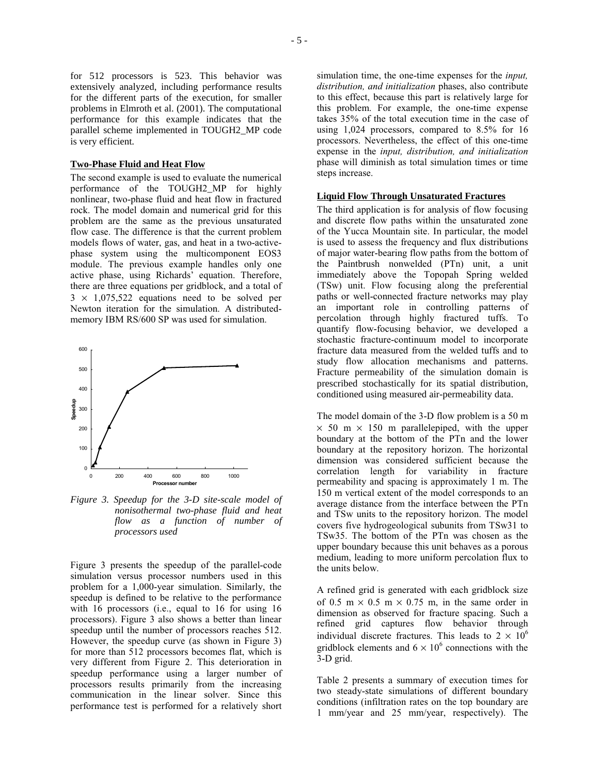for 512 processors is 523. This behavior was extensively analyzed, including performance results for the different parts of the execution, for smaller problems in Elmroth et al. (2001). The computational performance for this example indicates that the parallel scheme implemented in TOUGH2\_MP code is very efficient.

#### **Two-Phase Fluid and Heat Flow**

The second example is used to evaluate the numerical performance of the TOUGH2\_MP for highly nonlinear, two-phase fluid and heat flow in fractured rock. The model domain and numerical grid for this problem are the same as the previous unsaturated flow case. The difference is that the current problem models flows of water, gas, and heat in a two-activephase system using the multicomponent EOS3 module. The previous example handles only one active phase, using Richards' equation. Therefore, there are three equations per gridblock, and a total of  $3 \times 1,075,522$  equations need to be solved per Newton iteration for the simulation. A distributedmemory IBM RS/600 SP was used for simulation.



*Figure 3. Speedup for the 3-D site-scale model of nonisothermal two-phase fluid and heat flow as a function of number of processors used* 

Figure 3 presents the speedup of the parallel-code simulation versus processor numbers used in this problem for a 1,000-year simulation. Similarly, the speedup is defined to be relative to the performance with 16 processors (i.e., equal to 16 for using 16 processors). Figure 3 also shows a better than linear speedup until the number of processors reaches 512. However, the speedup curve (as shown in Figure 3) for more than 512 processors becomes flat, which is very different from Figure 2. This deterioration in speedup performance using a larger number of processors results primarily from the increasing communication in the linear solver. Since this performance test is performed for a relatively short simulation time, the one-time expenses for the *input, distribution, and initialization* phases, also contribute to this effect, because this part is relatively large for this problem. For example, the one-time expense takes 35% of the total execution time in the case of using 1,024 processors, compared to 8.5% for 16 processors. Nevertheless, the effect of this one-time expense in the *input, distribution, and initialization* phase will diminish as total simulation times or time steps increase.

### **Liquid Flow Through Unsaturated Fractures**

The third application is for analysis of flow focusing and discrete flow paths within the unsaturated zone of the Yucca Mountain site. In particular, the model is used to assess the frequency and flux distributions of major water-bearing flow paths from the bottom of the Paintbrush nonwelded (PTn) unit, a unit immediately above the Topopah Spring welded (TSw) unit. Flow focusing along the preferential paths or well-connected fracture networks may play an important role in controlling patterns of percolation through highly fractured tuffs. To quantify flow-focusing behavior, we developed a stochastic fracture-continuum model to incorporate fracture data measured from the welded tuffs and to study flow allocation mechanisms and patterns. Fracture permeability of the simulation domain is prescribed stochastically for its spatial distribution, conditioned using measured air-permeability data.

The model domain of the 3-D flow problem is a 50 m  $\times$  50 m  $\times$  150 m parallelepiped, with the upper boundary at the bottom of the PTn and the lower boundary at the repository horizon. The horizontal dimension was considered sufficient because the correlation length for variability in fracture permeability and spacing is approximately 1 m. The 150 m vertical extent of the model corresponds to an average distance from the interface between the PTn and TSw units to the repository horizon. The model covers five hydrogeological subunits from TSw31 to TSw35. The bottom of the PTn was chosen as the upper boundary because this unit behaves as a porous medium, leading to more uniform percolation flux to the units below.

A refined grid is generated with each gridblock size of 0.5 m  $\times$  0.5 m  $\times$  0.75 m, in the same order in dimension as observed for fracture spacing. Such a refined grid captures flow behavior through individual discrete fractures. This leads to  $2 \times 10^6$ gridblock elements and  $6 \times 10^6$  connections with the 3-D grid.

Table 2 presents a summary of execution times for two steady-state simulations of different boundary conditions (infiltration rates on the top boundary are 1 mm/year and 25 mm/year, respectively). The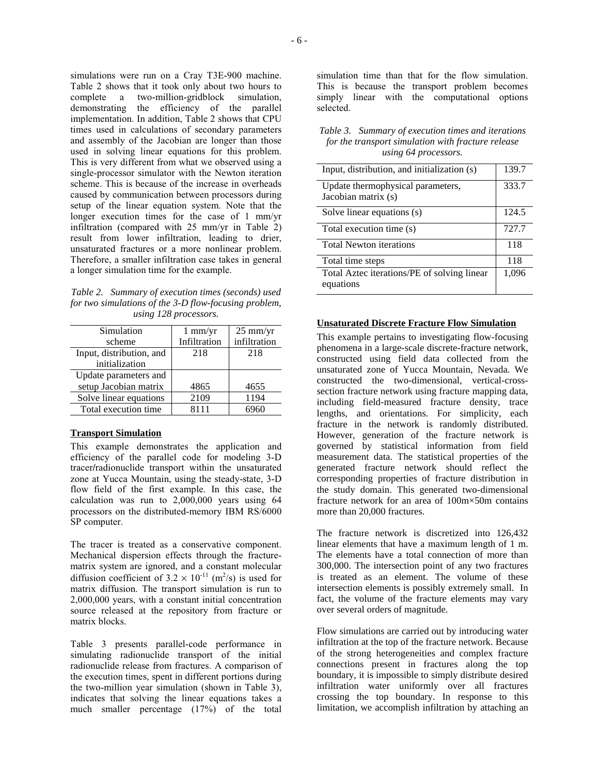simulations were run on a Cray T3E-900 machine. Table 2 shows that it took only about two hours to complete a two-million-gridblock simulation, demonstrating the efficiency of the parallel implementation. In addition, Table 2 shows that CPU times used in calculations of secondary parameters and assembly of the Jacobian are longer than those used in solving linear equations for this problem. This is very different from what we observed using a single-processor simulator with the Newton iteration scheme. This is because of the increase in overheads caused by communication between processors during setup of the linear equation system. Note that the longer execution times for the case of 1 mm/yr infiltration (compared with 25 mm/yr in Table 2) result from lower infiltration, leading to drier, unsaturated fractures or a more nonlinear problem. Therefore, a smaller infiltration case takes in general a longer simulation time for the example.

*Table 2. Summary of execution times (seconds) used for two simulations of the 3-D flow-focusing problem, using 128 processors.* 

| Simulation               | $1 \text{ mm/yr}$ | $25 \text{ mm/yr}$ |
|--------------------------|-------------------|--------------------|
| scheme                   | Infiltration      | infiltration       |
| Input, distribution, and | 218               | 218                |
| initialization           |                   |                    |
| Update parameters and    |                   |                    |
| setup Jacobian matrix    | 4865              | 4655               |
| Solve linear equations   | 2109              | 1194               |
| Total execution time     | 8111              |                    |
|                          |                   |                    |

#### **Transport Simulation**

This example demonstrates the application and efficiency of the parallel code for modeling 3-D tracer**/**radionuclide transport within the unsaturated zone at Yucca Mountain, using the steady-state, 3-D flow field of the first example. In this case, the calculation was run to 2,000,000 years using 64 processors on the distributed-memory IBM RS/6000 SP computer.

The tracer is treated as a conservative component. Mechanical dispersion effects through the fracturematrix system are ignored, and a constant molecular diffusion coefficient of  $3.2 \times 10^{-11}$  (m<sup>2</sup>/s) is used for matrix diffusion. The transport simulation is run to 2,000,000 years, with a constant initial concentration source released at the repository from fracture or matrix blocks.

Table 3 presents parallel-code performance in simulating radionuclide transport of the initial radionuclide release from fractures. A comparison of the execution times, spent in different portions during the two-million year simulation (shown in Table 3), indicates that solving the linear equations takes a much smaller percentage (17%) of the total

simulation time than that for the flow simulation. This is because the transport problem becomes simply linear with the computational options selected.

#### *Table 3. Summary of execution times and iterations for the transport simulation with fracture release using 64 processors.*

| Input, distribution, and initialization (s)              | 139.7 |
|----------------------------------------------------------|-------|
| Update thermophysical parameters,<br>Jacobian matrix (s) | 333.7 |
| Solve linear equations (s)                               | 124.5 |
| Total execution time (s)                                 | 727.7 |
| <b>Total Newton iterations</b>                           | 118   |
| Total time steps                                         | 118   |
| Total Aztec iterations/PE of solving linear<br>equations | 1,096 |

## **Unsaturated Discrete Fracture Flow Simulation**

This example pertains to investigating flow-focusing phenomena in a large-scale discrete-fracture network, constructed using field data collected from the unsaturated zone of Yucca Mountain, Nevada. We constructed the two-dimensional, vertical-crosssection fracture network using fracture mapping data, including field-measured fracture density, trace lengths, and orientations. For simplicity, each fracture in the network is randomly distributed. However, generation of the fracture network is governed by statistical information from field measurement data. The statistical properties of the generated fracture network should reflect the corresponding properties of fracture distribution in the study domain. This generated two-dimensional fracture network for an area of 100m×50m contains more than 20,000 fractures.

The fracture network is discretized into 126,432 linear elements that have a maximum length of 1 m. The elements have a total connection of more than 300,000. The intersection point of any two fractures is treated as an element. The volume of these intersection elements is possibly extremely small. In fact, the volume of the fracture elements may vary over several orders of magnitude.

Flow simulations are carried out by introducing water infiltration at the top of the fracture network. Because of the strong heterogeneities and complex fracture connections present in fractures along the top boundary, it is impossible to simply distribute desired infiltration water uniformly over all fractures crossing the top boundary. In response to this limitation, we accomplish infiltration by attaching an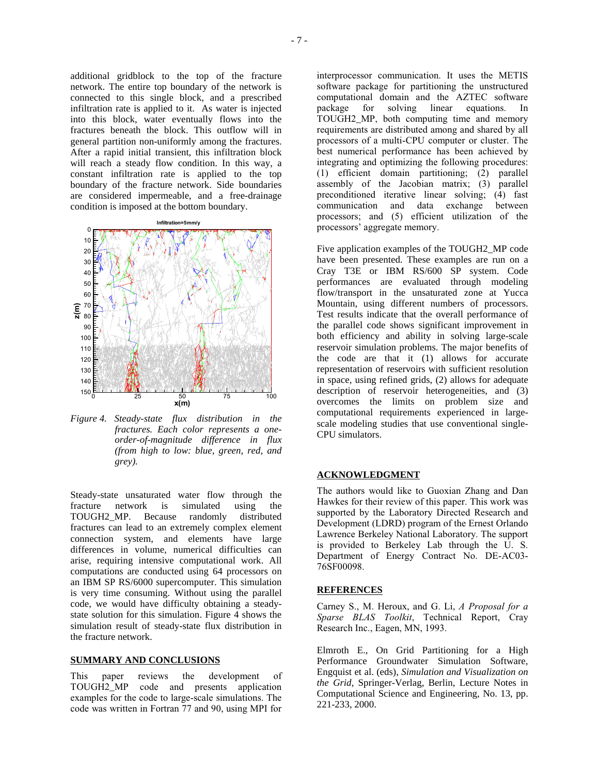additional gridblock to the top of the fracture network. The entire top boundary of the network is connected to this single block, and a prescribed infiltration rate is applied to it. As water is injected into this block, water eventually flows into the fractures beneath the block. This outflow will in general partition non-uniformly among the fractures. After a rapid initial transient, this infiltration block will reach a steady flow condition. In this way, a constant infiltration rate is applied to the top boundary of the fracture network. Side boundaries are considered impermeable, and a free-drainage condition is imposed at the bottom boundary.



*Figure 4. Steady-state flux distribution in the fractures. Each color represents a oneorder-of-magnitude difference in flux (from high to low: blue, green, red, and grey).* 

Steady-state unsaturated water flow through the fracture network is simulated using the TOUGH2\_MP. Because randomly distributed fractures can lead to an extremely complex element connection system, and elements have large differences in volume, numerical difficulties can arise, requiring intensive computational work. All computations are conducted using 64 processors on an IBM SP RS/6000 supercomputer. This simulation is very time consuming. Without using the parallel code, we would have difficulty obtaining a steadystate solution for this simulation. Figure 4 shows the simulation result of steady-state flux distribution in the fracture network.

#### **SUMMARY AND CONCLUSIONS**

This paper reviews the development of TOUGH2 MP code and presents application code and presents application examples for the code to large-scale simulations. The code was written in Fortran 77 and 90, using MPI for

interprocessor communication. It uses the METIS software package for partitioning the unstructured computational domain and the AZTEC software package for solving linear equations. In TOUGH2\_MP, both computing time and memory requirements are distributed among and shared by all processors of a multi-CPU computer or cluster. The best numerical performance has been achieved by integrating and optimizing the following procedures: (1) efficient domain partitioning; (2) parallel assembly of the Jacobian matrix; (3) parallel preconditioned iterative linear solving; (4) fast communication and data exchange between processors; and (5) efficient utilization of the processors' aggregate memory.

Five application examples of the TOUGH2\_MP code have been presented. These examples are run on a Cray T3E or IBM RS/600 SP system. Code performances are evaluated through modeling flow/transport in the unsaturated zone at Yucca Mountain, using different numbers of processors. Test results indicate that the overall performance of the parallel code shows significant improvement in both efficiency and ability in solving large-scale reservoir simulation problems. The major benefits of the code are that it (1) allows for accurate representation of reservoirs with sufficient resolution in space, using refined grids, (2) allows for adequate description of reservoir heterogeneities, and (3) overcomes the limits on problem size and computational requirements experienced in largescale modeling studies that use conventional single-CPU simulators.

#### **ACKNOWLEDGMENT**

The authors would like to Guoxian Zhang and Dan Hawkes for their review of this paper. This work was supported by the Laboratory Directed Research and Development (LDRD) program of the Ernest Orlando Lawrence Berkeley National Laboratory. The support is provided to Berkeley Lab through the U. S. Department of Energy Contract No. DE-AC03- 76SF00098.

#### **REFERENCES**

Carney S., M. Heroux, and G. Li, *A Proposal for a Sparse BLAS Toolkit*, Technical Report, Cray Research Inc., Eagen, MN, 1993.

Elmroth E., On Grid Partitioning for a High Performance Groundwater Simulation Software, Engquist et al. (eds), *Simulation and Visualization on the Grid*, Springer-Verlag, Berlin, Lecture Notes in Computational Science and Engineering, No. 13, pp. 221-233, 2000.